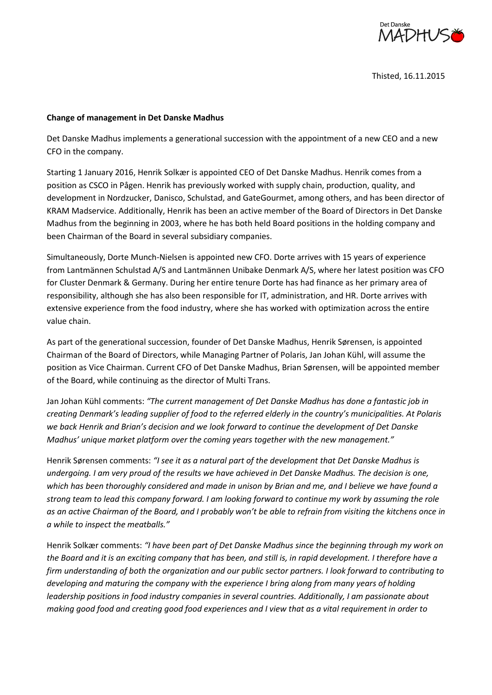

Thisted, 16.11.2015

## **Change of management in Det Danske Madhus**

Det Danske Madhus implements a generational succession with the appointment of a new CEO and a new CFO in the company.

Starting 1 January 2016, Henrik Solkær is appointed CEO of Det Danske Madhus. Henrik comes from a position as CSCO in Pågen. Henrik has previously worked with supply chain, production, quality, and development in Nordzucker, Danisco, Schulstad, and GateGourmet, among others, and has been director of KRAM Madservice. Additionally, Henrik has been an active member of the Board of Directors in Det Danske Madhus from the beginning in 2003, where he has both held Board positions in the holding company and been Chairman of the Board in several subsidiary companies.

Simultaneously, Dorte Munch-Nielsen is appointed new CFO. Dorte arrives with 15 years of experience from Lantmännen Schulstad A/S and Lantmännen Unibake Denmark A/S, where her latest position was CFO for Cluster Denmark & Germany. During her entire tenure Dorte has had finance as her primary area of responsibility, although she has also been responsible for IT, administration, and HR. Dorte arrives with extensive experience from the food industry, where she has worked with optimization across the entire value chain.

As part of the generational succession, founder of Det Danske Madhus, Henrik Sørensen, is appointed Chairman of the Board of Directors, while Managing Partner of Polaris, Jan Johan Kühl, will assume the position as Vice Chairman. Current CFO of Det Danske Madhus, Brian Sørensen, will be appointed member of the Board, while continuing as the director of Multi Trans.

Jan Johan Kühl comments: *"The current management of Det Danske Madhus has done a fantastic job in creating Denmark's leading supplier of food to the referred elderly in the country's municipalities. At Polaris we back Henrik and Brian's decision and we look forward to continue the development of Det Danske Madhus' unique market platform over the coming years together with the new management."*

Henrik Sørensen comments: *"I see it as a natural part of the development that Det Danske Madhus is undergoing. I am very proud of the results we have achieved in Det Danske Madhus. The decision is one, which has been thoroughly considered and made in unison by Brian and me, and I believe we have found a strong team to lead this company forward. I am looking forward to continue my work by assuming the role as an active Chairman of the Board, and I probably won't be able to refrain from visiting the kitchens once in a while to inspect the meatballs."*

Henrik Solkær comments: *"I have been part of Det Danske Madhus since the beginning through my work on the Board and it is an exciting company that has been, and still is, in rapid development. I therefore have a firm understanding of both the organization and our public sector partners. I look forward to contributing to developing and maturing the company with the experience I bring along from many years of holding leadership positions in food industry companies in several countries. Additionally, I am passionate about making good food and creating good food experiences and I view that as a vital requirement in order to*